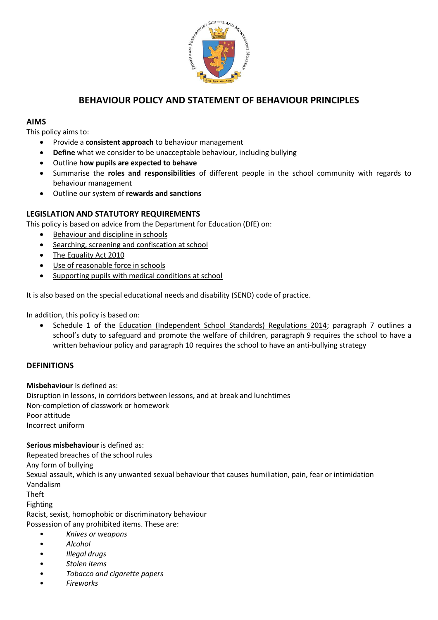

## **BEHAVIOUR POLICY AND STATEMENT OF BEHAVIOUR PRINCIPLES**

#### **AIMS**

This policy aims to:

- Provide a **consistent approach** to behaviour management
- **Define** what we consider to be unacceptable behaviour, including bullying
- Outline **how pupils are expected to behave**
- Summarise the **roles and responsibilities** of different people in the school community with regards to behaviour management
- Outline our system of **rewards and sanctions**

### **LEGISLATION AND STATUTORY REQUIREMENTS**

This policy is based on advice from the Department for Education (DfE) on:

- [Behaviour and discipline in](https://www.gov.uk/government/publications/behaviour-and-discipline-in-schools) schools
- [Searching, screening and confiscation at school](https://www.gov.uk/government/publications/searching-screening-and-confiscation)
- [The Equality Act 2010](https://www.gov.uk/government/publications/equality-act-2010-advice-for-schools)
- [Use of reasonable force in schools](https://www.gov.uk/government/publications/use-of-reasonable-force-in-schools)
- [Supporting pupils with medical conditions at school](https://www.gov.uk/government/publications/supporting-pupils-at-school-with-medical-conditions--3)

It is also based on the [special educational needs and disability \(SEND\) code of practice.](https://www.gov.uk/government/publications/send-code-of-practice-0-to-25)

In addition, this policy is based on:

Schedule 1 of the [Education \(Independent School Standards\) Regulations 2014;](http://www.legislation.gov.uk/uksi/2014/3283/schedule/made) paragraph 7 outlines a school's duty to safeguard and promote the welfare of children, paragraph 9 requires the school to have a written behaviour policy and paragraph 10 requires the school to have an anti-bullying strategy

#### **DEFINITIONS**

**Misbehaviour** is defined as:

Disruption in lessons, in corridors between lessons, and at break and lunchtimes Non-completion of classwork or homework Poor attitude Incorrect uniform

**Serious misbehaviour** is defined as: Repeated breaches of the school rules Any form of bullying Sexual assault, which is any unwanted sexual behaviour that causes humiliation, pain, fear or intimidation Vandalism

Theft

Fighting

Racist, sexist, homophobic or discriminatory behaviour Possession of any prohibited items. These are:

- *Knives or weapons*
- *Alcohol*
- *Illegal drugs*
- *Stolen items*
- *Tobacco and cigarette papers*
- *Fireworks*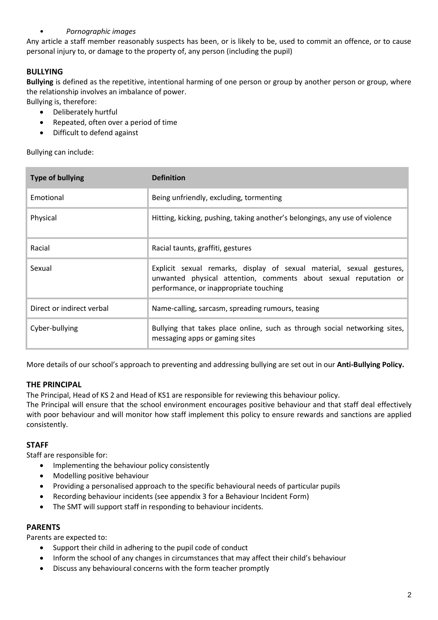### • *Pornographic images*

Any article a staff member reasonably suspects has been, or is likely to be, used to commit an offence, or to cause personal injury to, or damage to the property of, any person (including the pupil)

### **BULLYING**

**Bullying** is defined as the repetitive, intentional harming of one person or group by another person or group, where the relationship involves an imbalance of power.

- Bullying is, therefore:
	- Deliberately hurtful
	- Repeated, often over a period of time
	- Difficult to defend against

Bullying can include:

| <b>Type of bullying</b>   | <b>Definition</b>                                                                                                                                                                   |
|---------------------------|-------------------------------------------------------------------------------------------------------------------------------------------------------------------------------------|
| Emotional                 | Being unfriendly, excluding, tormenting                                                                                                                                             |
| Physical                  | Hitting, kicking, pushing, taking another's belongings, any use of violence                                                                                                         |
| Racial                    | Racial taunts, graffiti, gestures                                                                                                                                                   |
| Sexual                    | Explicit sexual remarks, display of sexual material, sexual gestures,<br>unwanted physical attention, comments about sexual reputation or<br>performance, or inappropriate touching |
| Direct or indirect verbal | Name-calling, sarcasm, spreading rumours, teasing                                                                                                                                   |
| Cyber-bullying            | Bullying that takes place online, such as through social networking sites,<br>messaging apps or gaming sites                                                                        |

More details of our school's approach to preventing and addressing bullying are set out in our **Anti-Bullying Policy.**

#### **THE PRINCIPAL**

The Principal, Head of KS 2 and Head of KS1 are responsible for reviewing this behaviour policy.

The Principal will ensure that the school environment encourages positive behaviour and that staff deal effectively with poor behaviour and will monitor how staff implement this policy to ensure rewards and sanctions are applied consistently.

#### **STAFF**

Staff are responsible for:

- Implementing the behaviour policy consistently
- Modelling positive behaviour
- Providing a personalised approach to the specific behavioural needs of particular pupils
- Recording behaviour incidents (see appendix 3 for a Behaviour Incident Form)
- The SMT will support staff in responding to behaviour incidents.

#### **PARENTS**

Parents are expected to:

- Support their child in adhering to the pupil code of conduct
- Inform the school of any changes in circumstances that may affect their child's behaviour
- Discuss any behavioural concerns with the form teacher promptly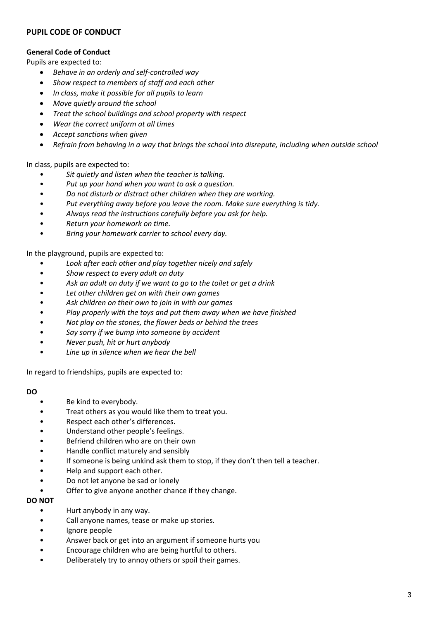#### **PUPIL CODE OF CONDUCT**

#### **General Code of Conduct**

Pupils are expected to:

- *Behave in an orderly and self-controlled way*
- *Show respect to members of staff and each other*
- *In class, make it possible for all pupils to learn*
- *Move quietly around the school*
- *Treat the school buildings and school property with respect*
- *Wear the correct uniform at all times*
- *Accept sanctions when given*
- *Refrain from behaving in a way that brings the school into disrepute, including when outside school*

In class, pupils are expected to:

- *Sit quietly and listen when the teacher is talking.*
- *Put up your hand when you want to ask a question.*
- *Do not disturb or distract other children when they are working.*
- *Put everything away before you leave the room. Make sure everything is tidy.*
- *Always read the instructions carefully before you ask for help.*
- *Return your homework on time.*
- *Bring your homework carrier to school every day.*

In the playground, pupils are expected to:

- *Look after each other and play together nicely and safely*
- *Show respect to every adult on duty*
- *Ask an adult on duty if we want to go to the toilet or get a drink*
- *Let other children get on with their own games*
- *Ask children on their own to join in with our games*
- *Play properly with the toys and put them away when we have finished*
- *Not play on the stones, the flower beds or behind the trees*
- *Say sorry if we bump into someone by accident*
- *Never push, hit or hurt anybody*
- *Line up in silence when we hear the bell*

In regard to friendships, pupils are expected to:

#### **DO**

- Be kind to everybody.
- Treat others as you would like them to treat you.
- Respect each other's differences.
- Understand other people's feelings.
- Befriend children who are on their own
- Handle conflict maturely and sensibly
- If someone is being unkind ask them to stop, if they don't then tell a teacher.
- Help and support each other.
- Do not let anyone be sad or lonely
- Offer to give anyone another chance if they change.

#### **DO NOT**

- Hurt anybody in any way.
- Call anyone names, tease or make up stories.
- Ignore people
- Answer back or get into an argument if someone hurts you
- Encourage children who are being hurtful to others.
- Deliberately try to annoy others or spoil their games.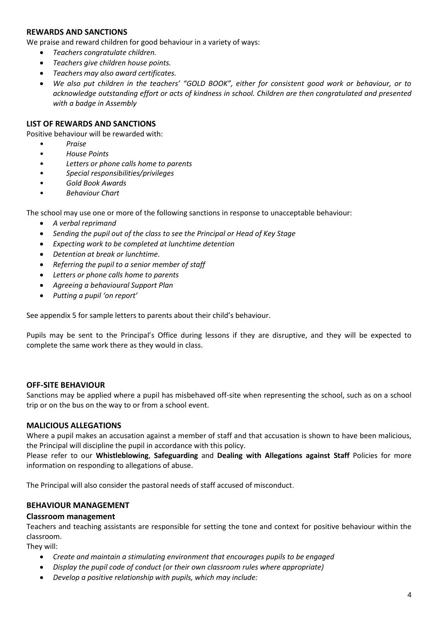#### **REWARDS AND SANCTIONS**

We praise and reward children for good behaviour in a variety of ways:

- *Teachers congratulate children.*
- *Teachers give children house points.*
- *Teachers may also award certificates.*
- *We also put children in the teachers' "GOLD BOOK", either for consistent good work or behaviour, or to acknowledge outstanding effort or acts of kindness in school. Children are then congratulated and presented with a badge in Assembly*

#### **LIST OF REWARDS AND SANCTIONS**

Positive behaviour will be rewarded with:

- *Praise*
- *House Points*
- *Letters or phone calls home to parents*
- *Special responsibilities/privileges*
- *Gold Book Awards*
- *Behaviour Chart*

The school may use one or more of the following sanctions in response to unacceptable behaviour:

- *A verbal reprimand*
- *Sending the pupil out of the class to see the Principal or Head of Key Stage*
- *Expecting work to be completed at lunchtime detention*
- *Detention at break or lunchtime.*
- *Referring the pupil to a senior member of staff*
- *Letters or phone calls home to parents*
- *Agreeing a behavioural Support Plan*
- *Putting a pupil 'on report'*

See appendix 5 for sample letters to parents about their child's behaviour.

Pupils may be sent to the Principal's Office during lessons if they are disruptive, and they will be expected to complete the same work there as they would in class.

#### **OFF-SITE BEHAVIOUR**

Sanctions may be applied where a pupil has misbehaved off-site when representing the school, such as on a school trip or on the bus on the way to or from a school event.

#### **MALICIOUS ALLEGATIONS**

Where a pupil makes an accusation against a member of staff and that accusation is shown to have been malicious, the Principal will discipline the pupil in accordance with this policy.

Please refer to our **Whistleblowing**, **Safeguarding** and **Dealing with Allegations against Staff** Policies for more information on responding to allegations of abuse.

The Principal will also consider the pastoral needs of staff accused of misconduct.

#### **BEHAVIOUR MANAGEMENT**

#### **Classroom management**

Teachers and teaching assistants are responsible for setting the tone and context for positive behaviour within the classroom.

They will:

- *Create and maintain a stimulating environment that encourages pupils to be engaged*
- *Display the pupil code of conduct (or their own classroom rules where appropriate)*
- *Develop a positive relationship with pupils, which may include:*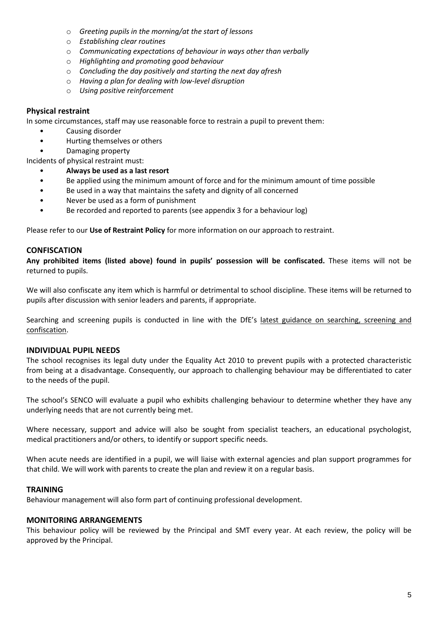- o *Greeting pupils in the morning/at the start of lessons*
- o *Establishing clear routines*
- o *Communicating expectations of behaviour in ways other than verbally*
- o *Highlighting and promoting good behaviour*
- o *Concluding the day positively and starting the next day afresh*
- o *Having a plan for dealing with low-level disruption*
- o *Using positive reinforcement*

#### **Physical restraint**

In some circumstances, staff may use reasonable force to restrain a pupil to prevent them:

- Causing disorder
- Hurting themselves or others
- Damaging property

Incidents of physical restraint must:

- **Always be used as a last resort**
- Be applied using the minimum amount of force and for the minimum amount of time possible
- Be used in a way that maintains the safety and dignity of all concerned
- Never be used as a form of punishment
- Be recorded and reported to parents (see appendix 3 for a behaviour log)

Please refer to our **Use of Restraint Policy** for more information on our approach to restraint.

#### **CONFISCATION**

**Any prohibited items (listed above) found in pupils' possession will be confiscated.** These items will not be returned to pupils.

We will also confiscate any item which is harmful or detrimental to school discipline. These items will be returned to pupils after discussion with senior leaders and parents, if appropriate.

Searching and screening pupils is conducted in line with the DfE's [latest guidance on searching, screening and](https://www.gov.uk/government/publications/searching-screening-and-confiscation)  [confiscation.](https://www.gov.uk/government/publications/searching-screening-and-confiscation)

#### **INDIVIDUAL PUPIL NEEDS**

The school recognises its legal duty under the Equality Act 2010 to prevent pupils with a protected characteristic from being at a disadvantage. Consequently, our approach to challenging behaviour may be differentiated to cater to the needs of the pupil.

The school's SENCO will evaluate a pupil who exhibits challenging behaviour to determine whether they have any underlying needs that are not currently being met.

Where necessary, support and advice will also be sought from specialist teachers, an educational psychologist, medical practitioners and/or others, to identify or support specific needs.

When acute needs are identified in a pupil, we will liaise with external agencies and plan support programmes for that child. We will work with parents to create the plan and review it on a regular basis.

#### **TRAINING**

Behaviour management will also form part of continuing professional development.

#### **MONITORING ARRANGEMENTS**

This behaviour policy will be reviewed by the Principal and SMT every year. At each review, the policy will be approved by the Principal.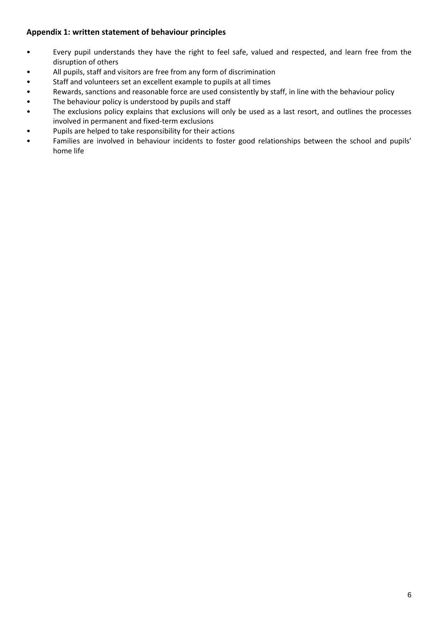### **Appendix 1: written statement of behaviour principles**

- Every pupil understands they have the right to feel safe, valued and respected, and learn free from the disruption of others
- All pupils, staff and visitors are free from any form of discrimination
- Staff and volunteers set an excellent example to pupils at all times
- Rewards, sanctions and reasonable force are used consistently by staff, in line with the behaviour policy
- The behaviour policy is understood by pupils and staff
- The exclusions policy explains that exclusions will only be used as a last resort, and outlines the processes involved in permanent and fixed-term exclusions
- Pupils are helped to take responsibility for their actions
- Families are involved in behaviour incidents to foster good relationships between the school and pupils' home life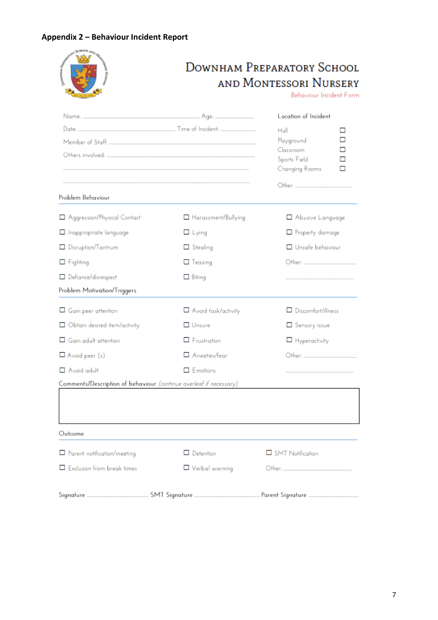## **Appendix 2 – Behaviour Incident Report**

 $\overline{\phantom{a}}$ 

| <b>SOFT SCHOOL AND AZ</b>           |                                                                    | Downham Preparatory School<br><b>AND MONTESSORI NURSERY</b><br>Behaviour Incident Form         |
|-------------------------------------|--------------------------------------------------------------------|------------------------------------------------------------------------------------------------|
| Problem Behaviour                   |                                                                    | Location of Incident<br>Hall<br>Playground<br>Classroom<br>Sports Field<br>Changing Rooms<br>п |
| Aggression/Physical Contact         | □ Harassment/Bullying                                              | Abusive Language                                                                               |
| $\Box$ Inappropriate language       | $\Box$ Lying                                                       | $\Box$ Property damage                                                                         |
| Disruption/Tantrum                  | $\Box$ Stealing                                                    | $\Box$ Unsafe behaviour                                                                        |
| $\Box$ Fighting                     | $\Box$ Teasing                                                     |                                                                                                |
| Defiance/disrespect                 | $\Box$ Biting                                                      |                                                                                                |
| Problem Motivation/Triggers         |                                                                    |                                                                                                |
| $\Box$ Gain peer attention          | $\Box$ Avoid task/activity                                         | $\Box$ Discomfort/illness                                                                      |
| $\Box$ Obtain desired item/activity | <b>Unsure</b>                                                      | Sensory issue                                                                                  |
| $\Box$ Gain adult attention         | $\Box$ Frustration                                                 | $\Box$ Hyperactivity                                                                           |
| $\Box$ Avoid peer (s)               | Anxieties/fear                                                     |                                                                                                |
| Avoid adult                         | $\square$ Emotions                                                 |                                                                                                |
|                                     | Comments/Description of behaviour (continue overleaf if necessary) |                                                                                                |
| Outcome                             |                                                                    |                                                                                                |
| $\Box$ Parent notification/meeting  | $\Box$ Detention                                                   | SMT Notification                                                                               |
| $\Box$ Exclusion from break times   | $\Box$ Verbal warning                                              |                                                                                                |
|                                     |                                                                    |                                                                                                |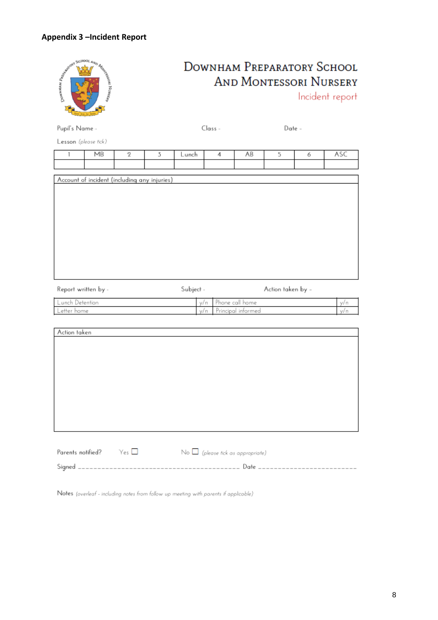### **Appendix 3 –Incident Report**



| Report written by - | Subject - | Action taken by –   |      |
|---------------------|-----------|---------------------|------|
| Lunch Detention     |           | v/n Phone call home | V/ n |
| Letter home         | v/n.      | Principal informed  | v/ n |

| Action taken |  |  |
|--------------|--|--|
|              |  |  |
|              |  |  |
|              |  |  |
|              |  |  |
|              |  |  |
|              |  |  |
|              |  |  |
|              |  |  |
|              |  |  |
|              |  |  |

| Parents notified? $Yes \Box$ |  | $\mathsf{No} \bigsqcup$ (please tick as appropriate) |                                 |  |
|------------------------------|--|------------------------------------------------------|---------------------------------|--|
|                              |  |                                                      | . Date ________________________ |  |

Notes (overleaf - including notes from follow up meeting with parents if applicable)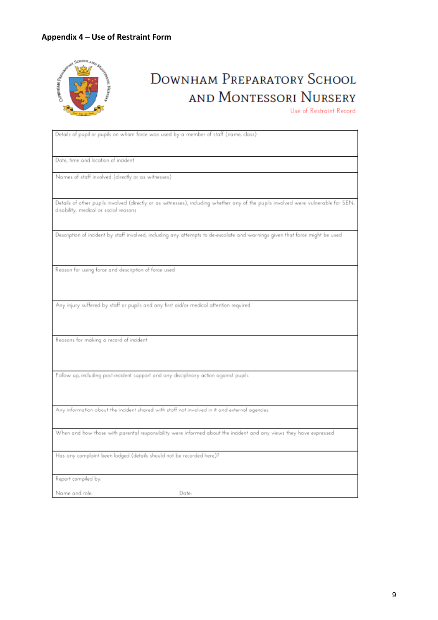### **Appendix 4 – Use of Restraint Form**



# **DOWNHAM PREPARATORY SCHOOL** AND MONTESSORI NURSERY

Use of Restraint Record

| Details of pupil or pupils on whom force was used by a member of staff (name, class)                                               |
|------------------------------------------------------------------------------------------------------------------------------------|
|                                                                                                                                    |
|                                                                                                                                    |
| Date, time and location of incident                                                                                                |
|                                                                                                                                    |
| Names of staff involved (directly or as witnesses)                                                                                 |
|                                                                                                                                    |
|                                                                                                                                    |
| Details of other pupils involved (directly or as witnesses), including whether any of the pupils involved were vulnerable for SEN, |
| disability, medical or social reasons                                                                                              |
|                                                                                                                                    |
| Description of incident by staff involved, including any attempts to de-escalate and warnings given that force might be used       |
|                                                                                                                                    |
|                                                                                                                                    |
|                                                                                                                                    |
| Reason for using force and description of force used                                                                               |
|                                                                                                                                    |
|                                                                                                                                    |
|                                                                                                                                    |
| Any injury suffered by staff or pupils and any first aid/or medical attention required                                             |
|                                                                                                                                    |
|                                                                                                                                    |
|                                                                                                                                    |
| Reasons for making a record of incident                                                                                            |
|                                                                                                                                    |
|                                                                                                                                    |
|                                                                                                                                    |
| Follow up, including post-incident support and any disciplinary action against pupils                                              |
|                                                                                                                                    |
|                                                                                                                                    |
| Any information about the incident shared with staff not involved in it and external agencies                                      |
|                                                                                                                                    |
|                                                                                                                                    |
| When and how those with parental responsibility were informed about the incident and any views they have expressed                 |
|                                                                                                                                    |
| Has any complaint been lodged (details should not be recorded here)?                                                               |
|                                                                                                                                    |
|                                                                                                                                    |
| Report compiled by:                                                                                                                |
|                                                                                                                                    |
| Name and role:<br>Date:                                                                                                            |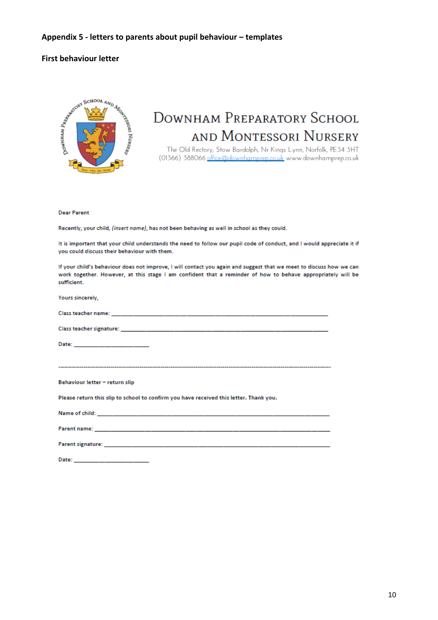#### **Appendix 5 - letters to parents about pupil behaviour – templates**

#### **First behaviour letter**



## **DOWNHAM PREPARATORY SCHOOL** AND MONTESSORI NURSERY

The Old Rectory, Stow Bardolph, Nr Kings Lynn, Norfolk, PE34 3HT (01366) 388066 office@downhamprep.co.uk www.downhamprep.co.uk

#### **Dear Parent**

Recently, your child, (insert name), has not been behaving as well in school as they could.

It is important that your child understands the need to follow our pupil code of conduct, and I would appreciate it if you could discuss their behaviour with them.

If your child's behaviour does not improve, I will contact you again and suggest that we meet to discuss how we can work together. However, at this stage I am confident that a reminder of how to behave appropriately will be sufficient.

| Yours sincerely,                                                                       |
|----------------------------------------------------------------------------------------|
|                                                                                        |
|                                                                                        |
| Date: _____________________                                                            |
|                                                                                        |
| Behaviour letter - return slip                                                         |
| Please return this slip to school to confirm you have received this letter. Thank you. |
|                                                                                        |
|                                                                                        |
|                                                                                        |
|                                                                                        |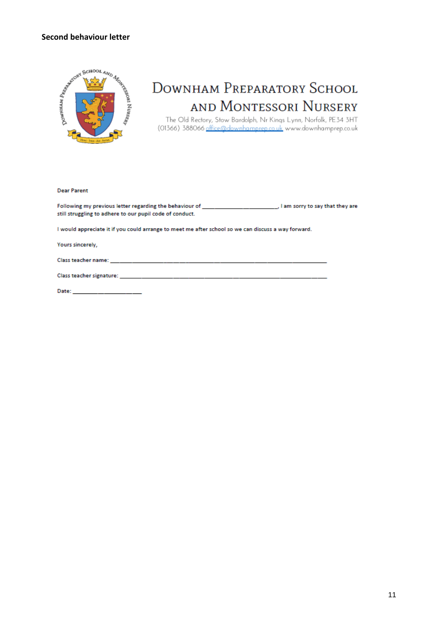#### **Second behaviour letter**



# DOWNHAM PREPARATORY SCHOOL AND MONTESSORI NURSERY

The Old Rectory, Stow Bardolph, Nr Kings Lynn, Norfolk, PE34 3HT<br>(01366) 388066 <u>office@downhamprep.co.uk</u> www.downhamprep.co.uk

**Dear Parent** 

still struggling to adhere to our pupil code of conduct.

I would appreciate it if you could arrange to meet me after school so we can discuss a way forward.

Yours sincerely,

Class teacher name: \_\_

Date: \_\_\_\_\_\_\_\_\_\_\_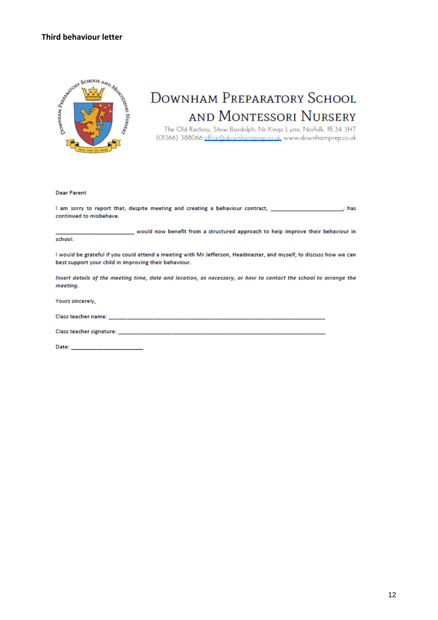### **Third behaviour letter**



## **DOWNHAM PREPARATORY SCHOOL** AND MONTESSORI NURSERY

The Old Rectory, Stow Bardolph, Nr Kings Lynn, Norfolk, PE34 3HT (01366) 388066 office@downhamprep.co.uk www.downhamprep.co.uk

**Dear Parent** 

I am sorry to report that, despite meeting and creating a behaviour contract, **Example 20** Section 2014, these continued to misbehave.

would now benefit from a structured approach to help improve their behaviour in school.

I would be grateful if you could attend a meeting with Mr Jefferson, Headmaster, and myself, to discuss how we can best support your child in improving their behaviour.

Insert details of the meeting time, date and location, as necessary, or how to contact the school to arrange the meeting.

Yours sincerely,

Class teacher name:

Class teacher signature: \_\_\_\_\_\_\_\_\_\_\_

Date: \_\_\_\_\_\_\_\_\_\_\_\_\_\_\_